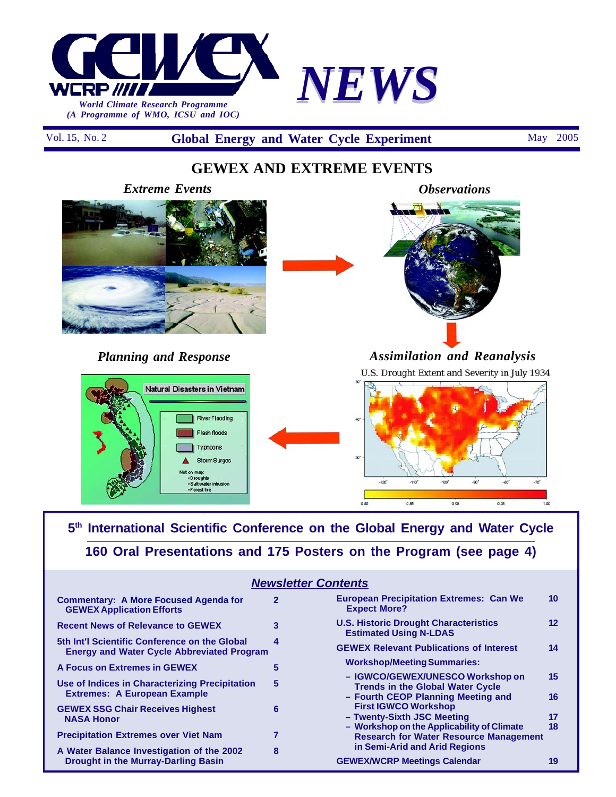

Vol. 15, No. 2 **Global Energy and Water Cycle Experiment** May 2005

## **GEWEX AND EXTREME EVENTS**



### *Planning and Response*





*Observations*

**The East** 

*Assimilation and Reanalysis* U.S. Drought Extent and Severity in July 1934



## **5th International Scientific Conference on the Global Energy and Water Cycle 160 Oral Presentations and 175 Posters on the Program (see page 4)**

| <b>Newsletter Contents</b>                                                                         |              |                                                                                                                   |          |
|----------------------------------------------------------------------------------------------------|--------------|-------------------------------------------------------------------------------------------------------------------|----------|
| Commentary: A More Focused Agenda for<br><b>GEWEX Application Efforts</b>                          | $\mathbf{2}$ | <b>European Precipitation Extremes: Can We</b><br><b>Expect More?</b>                                             | 10       |
| <b>Recent News of Relevance to GEWEX</b>                                                           | 3            | <b>U.S. Historic Drought Characteristics</b><br><b>Estimated Using N-LDAS</b>                                     | $12 \$   |
| 5th Int'l Scientific Conference on the Global<br><b>Energy and Water Cycle Abbreviated Program</b> | 4            | <b>GEWEX Relevant Publications of Interest</b>                                                                    | 14       |
| A Focus on Extremes in GEWEX                                                                       | 5            | <b>Workshop/Meeting Summaries:</b>                                                                                |          |
| Use of Indices in Characterizing Precipitation<br><b>Extremes: A European Example</b>              | 5            | - IGWCO/GEWEX/UNESCO Workshop on<br><b>Trends in the Global Water Cycle</b><br>- Fourth CEOP Planning Meeting and | 15<br>16 |
| <b>GEWEX SSG Chair Receives Highest</b><br><b>NASA Honor</b>                                       | 6            | <b>First IGWCO Workshop</b><br>- Twenty-Sixth JSC Meeting                                                         | 17       |
| <b>Precipitation Extremes over Viet Nam</b>                                                        |              | - Workshop on the Applicability of Climate<br><b>Research for Water Resource Management</b>                       | 18       |
| A Water Balance Investigation of the 2002                                                          | 8            | in Semi-Arid and Arid Regions                                                                                     |          |
| <b>Drought in the Murray-Darling Basin</b>                                                         |              | <b>GEWEX/WCRP Meetings Calendar</b>                                                                               | 19       |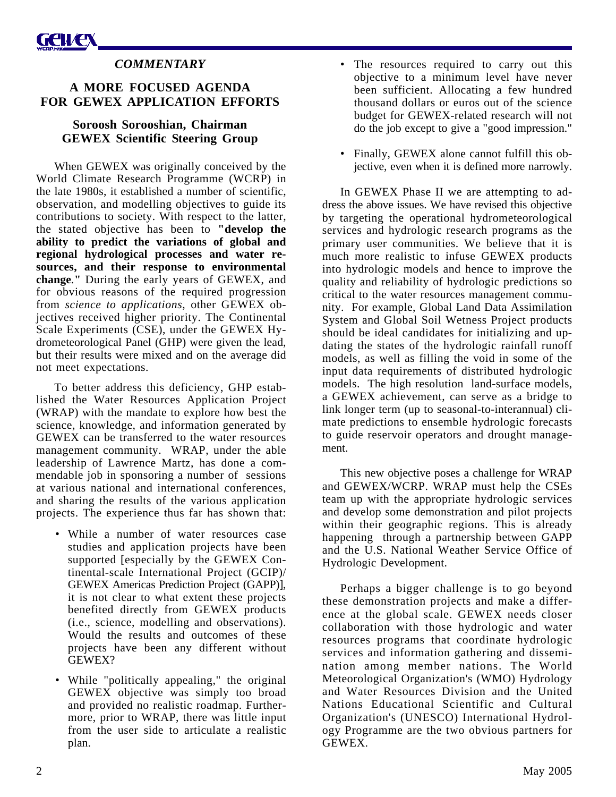### *COMMENTARY*

### **A MORE FOCUSED AGENDA FOR GEWEX APPLICATION EFFORTS**

### **Soroosh Sorooshian, Chairman GEWEX Scientific Steering Group**

When GEWEX was originally conceived by the World Climate Research Programme (WCRP) in the late 1980s, it established a number of scientific, observation, and modelling objectives to guide its contributions to society. With respect to the latter, the stated objective has been to **"develop the ability to predict the variations of global and regional hydrological processes and water resources, and their response to environmental change***.***"** During the early years of GEWEX, and for obvious reasons of the required progression from *science to applications*, other GEWEX objectives received higher priority. The Continental Scale Experiments (CSE), under the GEWEX Hydrometeorological Panel (GHP) were given the lead, but their results were mixed and on the average did not meet expectations.

To better address this deficiency, GHP established the Water Resources Application Project (WRAP) with the mandate to explore how best the science, knowledge, and information generated by GEWEX can be transferred to the water resources management community. WRAP, under the able leadership of Lawrence Martz, has done a commendable job in sponsoring a number of sessions at various national and international conferences, and sharing the results of the various application projects. The experience thus far has shown that:

- While a number of water resources case studies and application projects have been supported [especially by the GEWEX Continental-scale International Project (GCIP)/ GEWEX Americas Prediction Project (GAPP)], it is not clear to what extent these projects benefited directly from GEWEX products (i.e., science, modelling and observations). Would the results and outcomes of these projects have been any different without GEWEX?
- While "politically appealing," the original GEWEX objective was simply too broad and provided no realistic roadmap. Furthermore, prior to WRAP, there was little input from the user side to articulate a realistic plan.
- The resources required to carry out this objective to a minimum level have never been sufficient. Allocating a few hundred thousand dollars or euros out of the science budget for GEWEX-related research will not do the job except to give a "good impression."
- Finally, GEWEX alone cannot fulfill this objective, even when it is defined more narrowly.

In GEWEX Phase II we are attempting to address the above issues. We have revised this objective by targeting the operational hydrometeorological services and hydrologic research programs as the primary user communities. We believe that it is much more realistic to infuse GEWEX products into hydrologic models and hence to improve the quality and reliability of hydrologic predictions so critical to the water resources management community. For example, Global Land Data Assimilation System and Global Soil Wetness Project products should be ideal candidates for initializing and updating the states of the hydrologic rainfall runoff models, as well as filling the void in some of the input data requirements of distributed hydrologic models. The high resolution land-surface models, a GEWEX achievement, can serve as a bridge to link longer term (up to seasonal-to-interannual) climate predictions to ensemble hydrologic forecasts to guide reservoir operators and drought management.

This new objective poses a challenge for WRAP and GEWEX/WCRP. WRAP must help the CSEs team up with the appropriate hydrologic services and develop some demonstration and pilot projects within their geographic regions. This is already happening through a partnership between GAPP and the U.S. National Weather Service Office of Hydrologic Development.

Perhaps a bigger challenge is to go beyond these demonstration projects and make a difference at the global scale. GEWEX needs closer collaboration with those hydrologic and water resources programs that coordinate hydrologic services and information gathering and dissemination among member nations. The World Meteorological Organization's (WMO) Hydrology and Water Resources Division and the United Nations Educational Scientific and Cultural Organization's (UNESCO) International Hydrology Programme are the two obvious partners for GEWEX.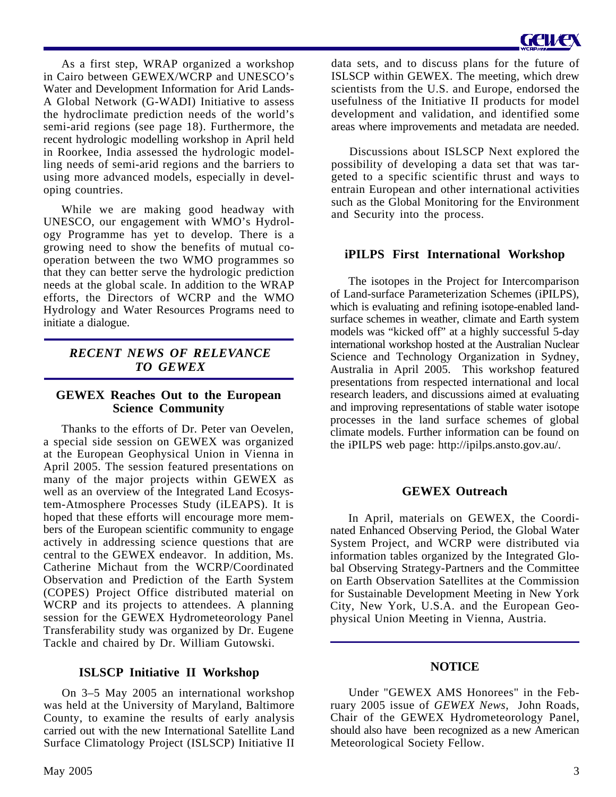As a first step, WRAP organized a workshop in Cairo between GEWEX/WCRP and UNESCO's Water and Development Information for Arid Lands-A Global Network (G-WADI) Initiative to assess the hydroclimate prediction needs of the world's semi-arid regions (see page 18). Furthermore, the recent hydrologic modelling workshop in April held in Roorkee, India assessed the hydrologic modelling needs of semi-arid regions and the barriers to using more advanced models, especially in developing countries.

While we are making good headway with UNESCO, our engagement with WMO's Hydrology Programme has yet to develop. There is a growing need to show the benefits of mutual cooperation between the two WMO programmes so that they can better serve the hydrologic prediction needs at the global scale. In addition to the WRAP efforts, the Directors of WCRP and the WMO Hydrology and Water Resources Programs need to initiate a dialogue.

### *RECENT NEWS OF RELEVANCE TO GEWEX*

### **GEWEX Reaches Out to the European Science Community**

Thanks to the efforts of Dr. Peter van Oevelen, a special side session on GEWEX was organized at the European Geophysical Union in Vienna in April 2005. The session featured presentations on many of the major projects within GEWEX as well as an overview of the Integrated Land Ecosystem-Atmosphere Processes Study (iLEAPS). It is hoped that these efforts will encourage more members of the European scientific community to engage actively in addressing science questions that are central to the GEWEX endeavor. In addition, Ms. Catherine Michaut from the WCRP/Coordinated Observation and Prediction of the Earth System (COPES) Project Office distributed material on WCRP and its projects to attendees. A planning session for the GEWEX Hydrometeorology Panel Transferability study was organized by Dr. Eugene Tackle and chaired by Dr. William Gutowski.

### **ISLSCP Initiative II Workshop**

On 3–5 May 2005 an international workshop was held at the University of Maryland, Baltimore County, to examine the results of early analysis carried out with the new International Satellite Land Surface Climatology Project (ISLSCP) Initiative II data sets, and to discuss plans for the future of ISLSCP within GEWEX. The meeting, which drew scientists from the U.S. and Europe, endorsed the usefulness of the Initiative II products for model development and validation, and identified some areas where improvements and metadata are needed.

Discussions about ISLSCP Next explored the possibility of developing a data set that was targeted to a specific scientific thrust and ways to entrain European and other international activities such as the Global Monitoring for the Environment and Security into the process.

### **iPILPS First International Workshop**

The isotopes in the Project for Intercomparison of Land-surface Parameterization Schemes (iPILPS), which is evaluating and refining isotope-enabled landsurface schemes in weather, climate and Earth system models was "kicked off" at a highly successful 5-day international workshop hosted at the Australian Nuclear Science and Technology Organization in Sydney, Australia in April 2005. This workshop featured presentations from respected international and local research leaders, and discussions aimed at evaluating and improving representations of stable water isotope processes in the land surface schemes of global climate models. Further information can be found on the iPILPS web page: http://ipilps.ansto.gov.au/.

### **GEWEX Outreach**

In April, materials on GEWEX, the Coordinated Enhanced Observing Period, the Global Water System Project, and WCRP were distributed via information tables organized by the Integrated Global Observing Strategy-Partners and the Committee on Earth Observation Satellites at the Commission for Sustainable Development Meeting in New York City, New York, U.S.A. and the European Geophysical Union Meeting in Vienna, Austria.

### **NOTICE**

Under "GEWEX AMS Honorees" in the February 2005 issue of *GEWEX News*, John Roads, Chair of the GEWEX Hydrometeorology Panel, should also have been recognized as a new American Meteorological Society Fellow.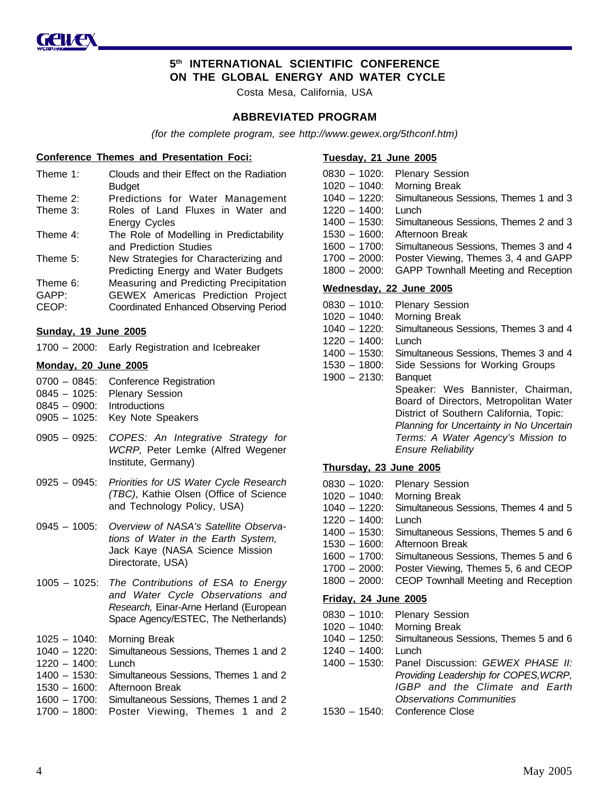

### **5th INTERNATIONAL SCIENTIFIC CONFERENCE ON THE GLOBAL ENERGY AND WATER CYCLE**

Costa Mesa, California, USA

#### **ABBREVIATED PROGRAM**

*(for the complete program, see http://www.gewex.org/5thconf.htm)*

#### **Conference Themes and Presentation Foci:**

| Theme 1:    | Clouds and their Effect on the Radiation |
|-------------|------------------------------------------|
|             | <b>Budget</b>                            |
| Theme 2:    | Predictions for Water Management         |
| Theme 3:    | Roles of Land Fluxes in Water and        |
|             | <b>Energy Cycles</b>                     |
| Theme $4$ : | The Role of Modelling in Predictability  |
|             | and Prediction Studies                   |
| Theme 5:    | New Strategies for Characterizing and    |
|             | Predicting Energy and Water Budgets      |
| Theme 6:    | Measuring and Predicting Precipitation   |
| GAPP:       | <b>GEWEX Americas Prediction Project</b> |
| CEOP:       | Coordinated Enhanced Observing Period    |
|             |                                          |

#### **Sunday, 19 June 2005**

|  | 1700 - 2000: Early Registration and Icebreaker |  |
|--|------------------------------------------------|--|
|--|------------------------------------------------|--|

#### **Monday, 20 June 2005**

|  |  | 0700 - 0845: Conference Registration |  |
|--|--|--------------------------------------|--|
|--|--|--------------------------------------|--|

- 0845 1025: Plenary Session
- 0845 0900: Introductions
- 0905 1025: Key Note Speakers
- 0905 0925: *COPES: An Integrative Strategy for WCRP,* Peter Lemke (Alfred Wegener Institute, Germany)
- 0925 0945: *Priorities for US Water Cycle Research (TBC)*, Kathie Olsen (Office of Science and Technology Policy, USA)
- 0945 1005: *Overview of NASA's Satellite Observations of Water in the Earth System,* Jack Kaye (NASA Science Mission Directorate, USA)
- 1005 1025: *The Contributions of ESA to Energy and Water Cycle Observations and Research,* Einar-Arne Herland (European Space Agency/ESTEC, The Netherlands)
- 1025 1040: Morning Break
- 1040 1220: Simultaneous Sessions, Themes 1 and 2
- 1220 1400: Lunch
- 1400 1530: Simultaneous Sessions, Themes 1 and 2 1530 – 1600: Afternoon Break
- 1600 1700: Simultaneous Sessions, Themes 1 and 2
- 1700 1800: Poster Viewing, Themes 1 and 2

| Tuesday, 21 June 2005 |  |  |
|-----------------------|--|--|
|                       |  |  |

- 0830 1020: Plenary Session 1020 – 1040: Morning Break 1040 – 1220: Simultaneous Sessions, Themes 1 and 3 1220 – 1400: Lunch 1400 – 1530: Simultaneous Sessions, Themes 2 and 3 1530 – 1600: Afternoon Break 1600 – 1700: Simultaneous Sessions, Themes 3 and 4 1700 – 2000: Poster Viewing, Themes 3, 4 and GAPP 1800 – 2000: GAPP Townhall Meeting and Reception **Wednesday, 22 June 2005** 0830 – 1010: Plenary Session 1020 – 1040: Morning Break 1040 – 1220: Simultaneous Sessions, Themes 3 and 4 1220 – 1400: Lunch 1400 – 1530: Simultaneous Sessions, Themes 3 and 4 1530 – 1800: Side Sessions for Working Groups 1900 – 2130: Banquet
	- Speaker: Wes Bannister, Chairman, Board of Directors, Metropolitan Water District of Southern California, Topic: *Planning for Uncertainty in No Uncertain Terms: A Water Agency's Mission to Ensure Reliability*

#### **Thursday, 23 June 2005**

- 0830 1020: Plenary Session 1020 – 1040: Morning Break 1040 – 1220: Simultaneous Sessions, Themes 4 and 5 1220 – 1400: Lunch 1400 – 1530: Simultaneous Sessions, Themes 5 and 6 1530 – 1600: Afternoon Break 1600 – 1700: Simultaneous Sessions, Themes 5 and 6 1700 – 2000: Poster Viewing, Themes 5, 6 and CEOP 1800 – 2000: CEOP Townhall Meeting and Reception **Friday, 24 June 2005** 0830 – 1010: Plenary Session
- 1020 1040: Morning Break
- 1040 1250: Simultaneous Sessions, Themes 5 and 6
- 1240 1400: Lunch
- 1400 1530: Panel Discussion: *GEWEX PHASE II: Providing Leadership for COPES,WCRP, IGBP and the Climate and Earth Observations Communities*
- 1530 1540: Conference Close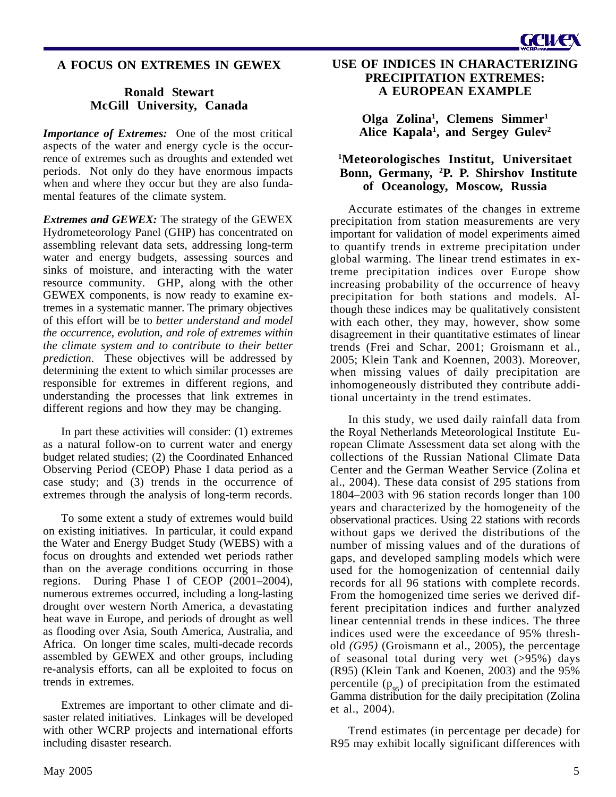### **A FOCUS ON EXTREMES IN GEWEX**

### **Ronald Stewart McGill University, Canada**

*Importance of Extremes:* One of the most critical aspects of the water and energy cycle is the occurrence of extremes such as droughts and extended wet periods. Not only do they have enormous impacts when and where they occur but they are also fundamental features of the climate system.

*Extremes and GEWEX:* The strategy of the GEWEX Hydrometeorology Panel (GHP) has concentrated on assembling relevant data sets, addressing long-term water and energy budgets, assessing sources and sinks of moisture, and interacting with the water resource community. GHP, along with the other GEWEX components, is now ready to examine extremes in a systematic manner. The primary objectives of this effort will be to *better understand and model the occurrence, evolution, and role of extremes within the climate system and to contribute to their better prediction*. These objectives will be addressed by determining the extent to which similar processes are responsible for extremes in different regions, and understanding the processes that link extremes in different regions and how they may be changing.

In part these activities will consider: (1) extremes as a natural follow-on to current water and energy budget related studies; (2) the Coordinated Enhanced Observing Period (CEOP) Phase I data period as a case study; and (3) trends in the occurrence of extremes through the analysis of long-term records.

To some extent a study of extremes would build on existing initiatives. In particular, it could expand the Water and Energy Budget Study (WEBS) with a focus on droughts and extended wet periods rather than on the average conditions occurring in those regions. During Phase I of CEOP (2001–2004), numerous extremes occurred, including a long-lasting drought over western North America, a devastating heat wave in Europe, and periods of drought as well as flooding over Asia, South America, Australia, and Africa. On longer time scales, multi-decade records assembled by GEWEX and other groups, including re-analysis efforts, can all be exploited to focus on trends in extremes.

Extremes are important to other climate and disaster related initiatives. Linkages will be developed with other WCRP projects and international efforts including disaster research.

**USE OF INDICES IN CHARACTERIZING PRECIPITATION EXTREMES: A EUROPEAN EXAMPLE**

> **Olga Zolina1 , Clemens Simmer1** Alice Kapala<sup>1</sup>, and Sergey Gulev<sup>2</sup>

### **1 Meteorologisches Institut, Universitaet Bonn, Germany, 2 P. P. Shirshov Institute of Oceanology, Moscow, Russia**

Accurate estimates of the changes in extreme precipitation from station measurements are very important for validation of model experiments aimed to quantify trends in extreme precipitation under global warming. The linear trend estimates in extreme precipitation indices over Europe show increasing probability of the occurrence of heavy precipitation for both stations and models. Although these indices may be qualitatively consistent with each other, they may, however, show some disagreement in their quantitative estimates of linear trends (Frei and Schar, 2001; Groismann et al., 2005; Klein Tank and Koennen, 2003). Moreover, when missing values of daily precipitation are inhomogeneously distributed they contribute additional uncertainty in the trend estimates.

In this study, we used daily rainfall data from the Royal Netherlands Meteorological Institute European Climate Assessment data set along with the collections of the Russian National Climate Data Center and the German Weather Service (Zolina et al., 2004). These data consist of 295 stations from 1804–2003 with 96 station records longer than 100 years and characterized by the homogeneity of the observational practices. Using 22 stations with records without gaps we derived the distributions of the number of missing values and of the durations of gaps, and developed sampling models which were used for the homogenization of centennial daily records for all 96 stations with complete records. From the homogenized time series we derived different precipitation indices and further analyzed linear centennial trends in these indices. The three indices used were the exceedance of 95% threshold *(G95)* (Groismann et al., 2005), the percentage of seasonal total during very wet  $(>\!95\%)$  days (R95) (Klein Tank and Koenen, 2003) and the 95% percentile  $(p_{05})$  of precipitation from the estimated Gamma distribution for the daily precipitation (Zolina et al., 2004).

Trend estimates (in percentage per decade) for R95 may exhibit locally significant differences with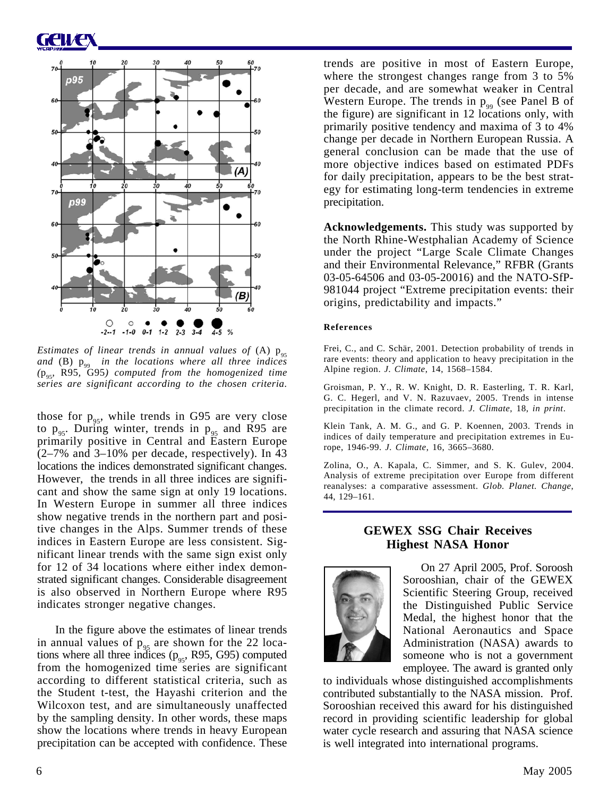# GCIVE



*Estimates of linear trends in annual values of (A)*  $p_{05}$ and (B)  $p_{99}$  in the locations where all three indices *(*p95*,* R95*,* G95*) computed from the homogenized time series are significant according to the chosen criteria.*

those for  $p_{\text{q5}}$ , while trends in G95 are very close to  $p_{95}$ . During winter, trends in  $p_{95}$  and R95 are primarily positive in Central and Eastern Europe (2–7% and 3–10% per decade, respectively). In 43 locations the indices demonstrated significant changes. However, the trends in all three indices are significant and show the same sign at only 19 locations. In Western Europe in summer all three indices show negative trends in the northern part and positive changes in the Alps. Summer trends of these indices in Eastern Europe are less consistent. Significant linear trends with the same sign exist only for 12 of 34 locations where either index demonstrated significant changes. Considerable disagreement is also observed in Northern Europe where R95 indicates stronger negative changes.

In the figure above the estimates of linear trends in annual values of  $p_{q5}$  are shown for the 22 locations where all three indices  $(p_{95}, R95, G95)$  computed from the homogenized time series are significant according to different statistical criteria, such as the Student t-test, the Hayashi criterion and the Wilcoxon test, and are simultaneously unaffected by the sampling density. In other words, these maps show the locations where trends in heavy European precipitation can be accepted with confidence. These

trends are positive in most of Eastern Europe, where the strongest changes range from 3 to 5% per decade, and are somewhat weaker in Central Western Europe. The trends in  $p_{oo}$  (see Panel B of the figure) are significant in 12 locations only, with primarily positive tendency and maxima of 3 to 4% change per decade in Northern European Russia. A general conclusion can be made that the use of more objective indices based on estimated PDFs for daily precipitation, appears to be the best strategy for estimating long-term tendencies in extreme precipitation.

**Acknowledgements.** This study was supported by the North Rhine-Westphalian Academy of Science under the project "Large Scale Climate Changes and their Environmental Relevance," RFBR (Grants 03-05-64506 and 03-05-20016) and the NATO-SfP-981044 project "Extreme precipitation events: their origins, predictability and impacts."

#### **References**

Frei, C., and C. Schär, 2001. Detection probability of trends in rare events: theory and application to heavy precipitation in the Alpine region. *J. Climate*, 14, 1568–1584.

Groisman, P. Y., R. W. Knight, D. R. Easterling, T. R. Karl, G. C. Hegerl, and V. N. Razuvaev, 2005. Trends in intense precipitation in the climate record. *J. Climate*, 18, *in print*.

Klein Tank, A. M. G., and G. P. Koennen, 2003. Trends in indices of daily temperature and precipitation extremes in Europe, 1946-99. *J. Climate*, 16, 3665–3680.

Zolina, O., A. Kapala, C. Simmer, and S. K. Gulev, 2004. Analysis of extreme precipitation over Europe from different reanalyses: a comparative assessment. *Glob. Planet. Change*, 44, 129–161.

### **GEWEX SSG Chair Receives Highest NASA Honor**



On 27 April 2005, Prof. Soroosh Sorooshian, chair of the GEWEX Scientific Steering Group, received the Distinguished Public Service Medal, the highest honor that the National Aeronautics and Space Administration (NASA) awards to someone who is not a government employee. The award is granted only

to individuals whose distinguished accomplishments contributed substantially to the NASA mission. Prof. Sorooshian received this award for his distinguished record in providing scientific leadership for global water cycle research and assuring that NASA science is well integrated into international programs.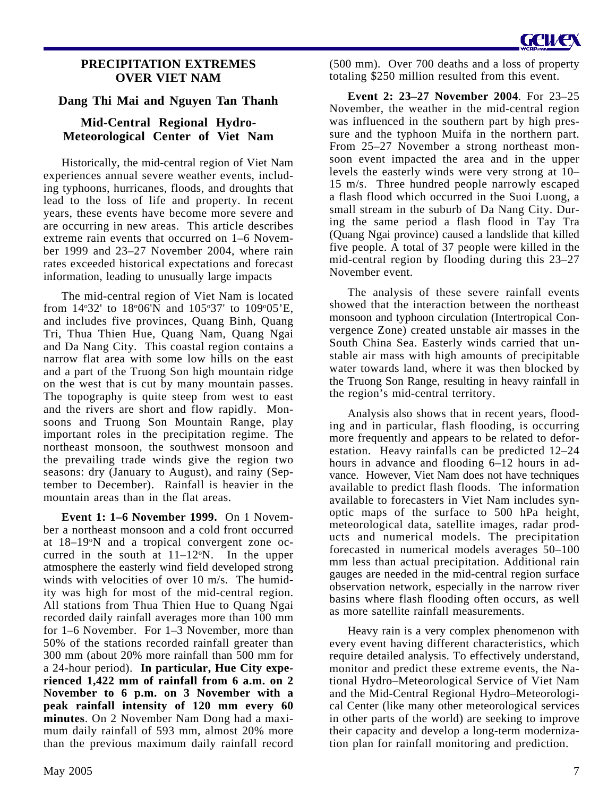### **PRECIPITATION EXTREMES OVER VIET NAM**

### **Dang Thi Mai and Nguyen Tan Thanh**

### **Mid-Central Regional Hydro-Meteorological Center of Viet Nam**

Historically, the mid-central region of Viet Nam experiences annual severe weather events, including typhoons, hurricanes, floods, and droughts that lead to the loss of life and property. In recent years, these events have become more severe and are occurring in new areas. This article describes extreme rain events that occurred on 1–6 November 1999 and 23–27 November 2004, where rain rates exceeded historical expectations and forecast information, leading to unusually large impacts

The mid-central region of Viet Nam is located from  $14°32'$  to  $18°06'$ N and  $105°37'$  to  $109°05'E$ , and includes five provinces, Quang Binh, Quang Tri, Thua Thien Hue, Quang Nam, Quang Ngai and Da Nang City. This coastal region contains a narrow flat area with some low hills on the east and a part of the Truong Son high mountain ridge on the west that is cut by many mountain passes. The topography is quite steep from west to east and the rivers are short and flow rapidly. Monsoons and Truong Son Mountain Range, play important roles in the precipitation regime. The northeast monsoon, the southwest monsoon and the prevailing trade winds give the region two seasons: dry (January to August), and rainy (September to December). Rainfall is heavier in the mountain areas than in the flat areas.

**Event 1: 1–6 November 1999.** On 1 November a northeast monsoon and a cold front occurred at 18-19°N and a tropical convergent zone occurred in the south at  $11-12$ °N. In the upper atmosphere the easterly wind field developed strong winds with velocities of over 10 m/s. The humidity was high for most of the mid-central region. All stations from Thua Thien Hue to Quang Ngai recorded daily rainfall averages more than 100 mm for 1–6 November. For 1–3 November, more than 50% of the stations recorded rainfall greater than 300 mm (about 20% more rainfall than 500 mm for a 24-hour period). **In particular, Hue City experienced 1,422 mm of rainfall from 6 a.m. on 2 November to 6 p.m. on 3 November with a peak rainfall intensity of 120 mm every 60 minutes**. On 2 November Nam Dong had a maximum daily rainfall of 593 mm, almost 20% more than the previous maximum daily rainfall record

(500 mm). Over 700 deaths and a loss of property totaling \$250 million resulted from this event.

**Event 2: 23–27 November 2004**. For 23–25 November, the weather in the mid-central region was influenced in the southern part by high pressure and the typhoon Muifa in the northern part. From 25–27 November a strong northeast monsoon event impacted the area and in the upper levels the easterly winds were very strong at 10– 15 m/s. Three hundred people narrowly escaped a flash flood which occurred in the Suoi Luong, a small stream in the suburb of Da Nang City. During the same period a flash flood in Tay Tra (Quang Ngai province) caused a landslide that killed five people. A total of 37 people were killed in the mid-central region by flooding during this 23–27 November event.

The analysis of these severe rainfall events showed that the interaction between the northeast monsoon and typhoon circulation (Intertropical Convergence Zone) created unstable air masses in the South China Sea. Easterly winds carried that unstable air mass with high amounts of precipitable water towards land, where it was then blocked by the Truong Son Range, resulting in heavy rainfall in the region's mid-central territory.

Analysis also shows that in recent years, flooding and in particular, flash flooding, is occurring more frequently and appears to be related to deforestation. Heavy rainfalls can be predicted 12–24 hours in advance and flooding 6–12 hours in advance. However, Viet Nam does not have techniques available to predict flash floods. The information available to forecasters in Viet Nam includes synoptic maps of the surface to 500 hPa height, meteorological data, satellite images, radar products and numerical models. The precipitation forecasted in numerical models averages 50–100 mm less than actual precipitation. Additional rain gauges are needed in the mid-central region surface observation network, especially in the narrow river basins where flash flooding often occurs, as well as more satellite rainfall measurements.

Heavy rain is a very complex phenomenon with every event having different characteristics, which require detailed analysis. To effectively understand, monitor and predict these extreme events, the National Hydro–Meteorological Service of Viet Nam and the Mid-Central Regional Hydro–Meteorological Center (like many other meteorological services in other parts of the world) are seeking to improve their capacity and develop a long-term modernization plan for rainfall monitoring and prediction.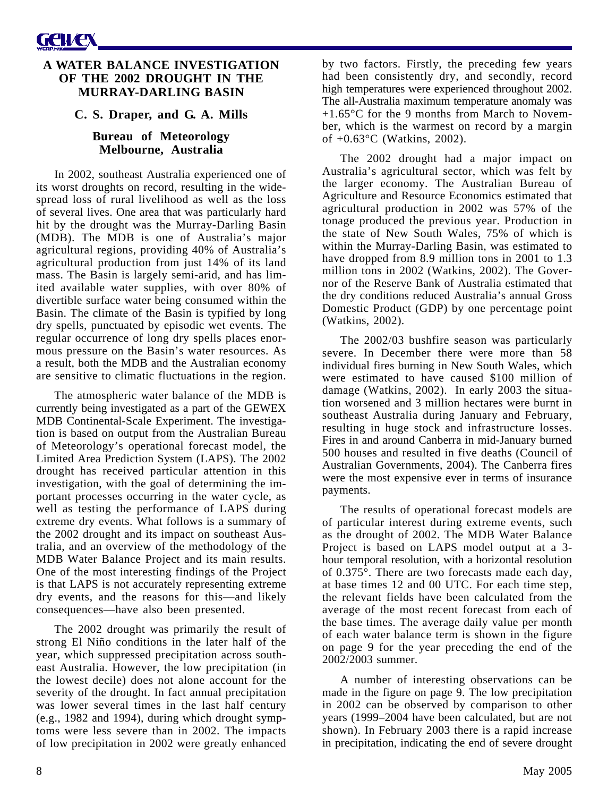### **A WATER BALANCE INVESTIGATION OF THE 2002 DROUGHT IN THE MURRAY-DARLING BASIN**

### **C. S. Draper, and G. A. Mills**

### **Bureau of Meteorology Melbourne, Australia**

In 2002, southeast Australia experienced one of its worst droughts on record, resulting in the widespread loss of rural livelihood as well as the loss of several lives. One area that was particularly hard hit by the drought was the Murray-Darling Basin (MDB). The MDB is one of Australia's major agricultural regions, providing 40% of Australia's agricultural production from just 14% of its land mass. The Basin is largely semi-arid, and has limited available water supplies, with over 80% of divertible surface water being consumed within the Basin. The climate of the Basin is typified by long dry spells, punctuated by episodic wet events. The regular occurrence of long dry spells places enormous pressure on the Basin's water resources. As a result, both the MDB and the Australian economy are sensitive to climatic fluctuations in the region.

The atmospheric water balance of the MDB is currently being investigated as a part of the GEWEX MDB Continental-Scale Experiment. The investigation is based on output from the Australian Bureau of Meteorology's operational forecast model, the Limited Area Prediction System (LAPS). The 2002 drought has received particular attention in this investigation, with the goal of determining the important processes occurring in the water cycle, as well as testing the performance of LAPS during extreme dry events. What follows is a summary of the 2002 drought and its impact on southeast Australia, and an overview of the methodology of the MDB Water Balance Project and its main results. One of the most interesting findings of the Project is that LAPS is not accurately representing extreme dry events, and the reasons for this—and likely consequences—have also been presented.

The 2002 drought was primarily the result of strong El Niño conditions in the later half of the year, which suppressed precipitation across southeast Australia. However, the low precipitation (in the lowest decile) does not alone account for the severity of the drought. In fact annual precipitation was lower several times in the last half century (e.g., 1982 and 1994), during which drought symptoms were less severe than in 2002. The impacts of low precipitation in 2002 were greatly enhanced

by two factors. Firstly, the preceding few years had been consistently dry, and secondly, record high temperatures were experienced throughout 2002. The all-Australia maximum temperature anomaly was +1.65°C for the 9 months from March to November, which is the warmest on record by a margin of +0.63°C (Watkins, 2002).

The 2002 drought had a major impact on Australia's agricultural sector, which was felt by the larger economy. The Australian Bureau of Agriculture and Resource Economics estimated that agricultural production in 2002 was 57% of the tonage produced the previous year. Production in the state of New South Wales, 75% of which is within the Murray-Darling Basin, was estimated to have dropped from 8.9 million tons in 2001 to 1.3 million tons in 2002 (Watkins, 2002). The Governor of the Reserve Bank of Australia estimated that the dry conditions reduced Australia's annual Gross Domestic Product (GDP) by one percentage point (Watkins, 2002).

The 2002/03 bushfire season was particularly severe. In December there were more than 58 individual fires burning in New South Wales, which were estimated to have caused \$100 million of damage (Watkins, 2002). In early 2003 the situation worsened and 3 million hectares were burnt in southeast Australia during January and February, resulting in huge stock and infrastructure losses. Fires in and around Canberra in mid-January burned 500 houses and resulted in five deaths (Council of Australian Governments, 2004). The Canberra fires were the most expensive ever in terms of insurance payments.

The results of operational forecast models are of particular interest during extreme events, such as the drought of 2002. The MDB Water Balance Project is based on LAPS model output at a 3 hour temporal resolution, with a horizontal resolution of 0.375°. There are two forecasts made each day, at base times 12 and 00 UTC. For each time step, the relevant fields have been calculated from the average of the most recent forecast from each of the base times. The average daily value per month of each water balance term is shown in the figure on page 9 for the year preceding the end of the 2002/2003 summer.

A number of interesting observations can be made in the figure on page 9. The low precipitation in 2002 can be observed by comparison to other years (1999–2004 have been calculated, but are not shown). In February 2003 there is a rapid increase in precipitation, indicating the end of severe drought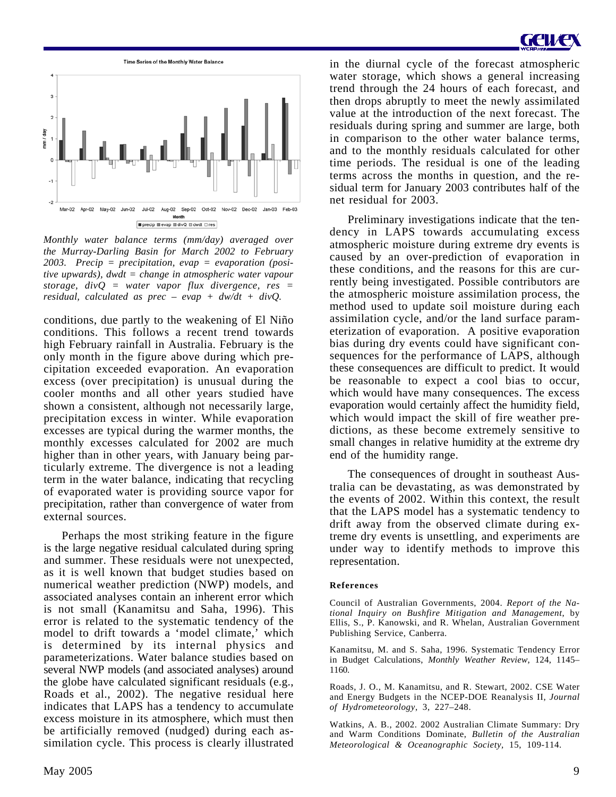



*Monthly water balance terms (mm/day) averaged over the Murray-Darling Basin for March 2002 to February 2003. Precip = precipitation, evap = evaporation (positive upwards), dwdt = change in atmospheric water vapour storage, divQ = water vapor flux divergence, res = residual, calculated as prec – evap + dw/dt + divQ.*

conditions, due partly to the weakening of El Niño conditions. This follows a recent trend towards high February rainfall in Australia. February is the only month in the figure above during which precipitation exceeded evaporation. An evaporation excess (over precipitation) is unusual during the cooler months and all other years studied have shown a consistent, although not necessarily large, precipitation excess in winter. While evaporation excesses are typical during the warmer months, the monthly excesses calculated for 2002 are much higher than in other years, with January being particularly extreme. The divergence is not a leading term in the water balance, indicating that recycling of evaporated water is providing source vapor for precipitation, rather than convergence of water from external sources.

Perhaps the most striking feature in the figure is the large negative residual calculated during spring and summer. These residuals were not unexpected, as it is well known that budget studies based on numerical weather prediction (NWP) models, and associated analyses contain an inherent error which is not small (Kanamitsu and Saha, 1996). This error is related to the systematic tendency of the model to drift towards a 'model climate,' which is determined by its internal physics and parameterizations. Water balance studies based on several NWP models (and associated analyses) around the globe have calculated significant residuals (e.g., Roads et al., 2002). The negative residual here indicates that LAPS has a tendency to accumulate excess moisture in its atmosphere, which must then be artificially removed (nudged) during each assimilation cycle. This process is clearly illustrated

in the diurnal cycle of the forecast atmospheric water storage, which shows a general increasing trend through the 24 hours of each forecast, and then drops abruptly to meet the newly assimilated value at the introduction of the next forecast. The residuals during spring and summer are large, both in comparison to the other water balance terms, and to the monthly residuals calculated for other time periods. The residual is one of the leading terms across the months in question, and the residual term for January 2003 contributes half of the net residual for 2003.

Preliminary investigations indicate that the tendency in LAPS towards accumulating excess atmospheric moisture during extreme dry events is caused by an over-prediction of evaporation in these conditions, and the reasons for this are currently being investigated. Possible contributors are the atmospheric moisture assimilation process, the method used to update soil moisture during each assimilation cycle, and/or the land surface parameterization of evaporation. A positive evaporation bias during dry events could have significant consequences for the performance of LAPS, although these consequences are difficult to predict. It would be reasonable to expect a cool bias to occur, which would have many consequences. The excess evaporation would certainly affect the humidity field, which would impact the skill of fire weather predictions, as these become extremely sensitive to small changes in relative humidity at the extreme dry end of the humidity range.

The consequences of drought in southeast Australia can be devastating, as was demonstrated by the events of 2002. Within this context, the result that the LAPS model has a systematic tendency to drift away from the observed climate during extreme dry events is unsettling, and experiments are under way to identify methods to improve this representation.

#### **References**

Council of Australian Governments, 2004. *Report of the National Inquiry on Bushfire Mitigation and Management*, by Ellis, S., P. Kanowski, and R. Whelan, Australian Government Publishing Service, Canberra.

Kanamitsu, M. and S. Saha, 1996. Systematic Tendency Error in Budget Calculations, *Monthly Weather Review*, 124, 1145– 1160.

Roads, J. O., M. Kanamitsu, and R. Stewart, 2002. CSE Water and Energy Budgets in the NCEP-DOE Reanalysis II, *Journal of Hydrometeorology*, 3, 227–248.

Watkins, A. B., 2002. 2002 Australian Climate Summary: Dry and Warm Conditions Dominate, *Bulletin of the Australian Meteorological & Oceanographic Society,* 15, 109-114.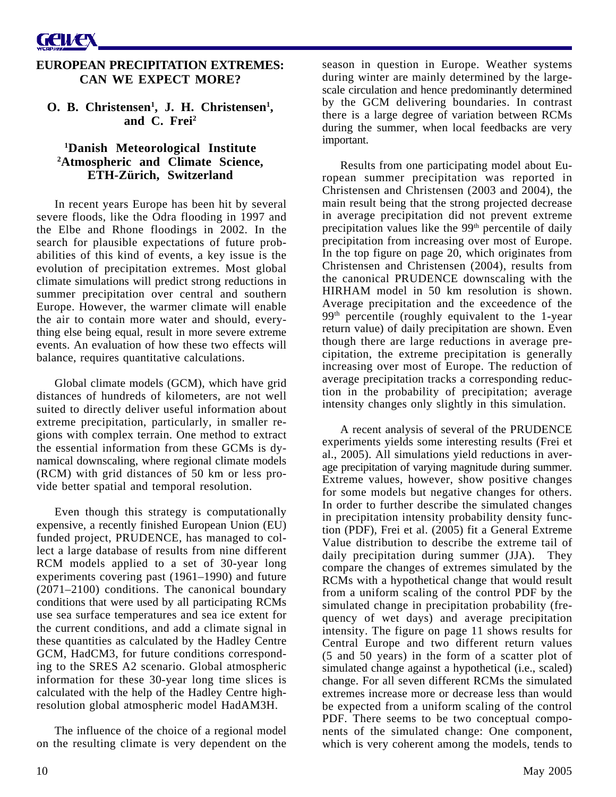### **EUROPEAN PRECIPITATION EXTREMES: CAN WE EXPECT MORE?**

**O. B. Christensen<sup>1</sup>, J. H. Christensen<sup>1</sup>, and C. Frei2**

### **1 Danish Meteorological Institute 2 Atmospheric and Climate Science, ETH-Zürich, Switzerland**

In recent years Europe has been hit by several severe floods, like the Odra flooding in 1997 and the Elbe and Rhone floodings in 2002. In the search for plausible expectations of future probabilities of this kind of events, a key issue is the evolution of precipitation extremes. Most global climate simulations will predict strong reductions in summer precipitation over central and southern Europe. However, the warmer climate will enable the air to contain more water and should, everything else being equal, result in more severe extreme events. An evaluation of how these two effects will balance, requires quantitative calculations.

Global climate models (GCM), which have grid distances of hundreds of kilometers, are not well suited to directly deliver useful information about extreme precipitation, particularly, in smaller regions with complex terrain. One method to extract the essential information from these GCMs is dynamical downscaling, where regional climate models (RCM) with grid distances of 50 km or less provide better spatial and temporal resolution.

Even though this strategy is computationally expensive, a recently finished European Union (EU) funded project, PRUDENCE, has managed to collect a large database of results from nine different RCM models applied to a set of 30-year long experiments covering past (1961–1990) and future (2071–2100) conditions. The canonical boundary conditions that were used by all participating RCMs use sea surface temperatures and sea ice extent for the current conditions, and add a climate signal in these quantities as calculated by the Hadley Centre GCM, HadCM3, for future conditions corresponding to the SRES A2 scenario. Global atmospheric information for these 30-year long time slices is calculated with the help of the Hadley Centre highresolution global atmospheric model HadAM3H.

The influence of the choice of a regional model on the resulting climate is very dependent on the

season in question in Europe. Weather systems during winter are mainly determined by the largescale circulation and hence predominantly determined by the GCM delivering boundaries. In contrast there is a large degree of variation between RCMs during the summer, when local feedbacks are very important.

Results from one participating model about European summer precipitation was reported in Christensen and Christensen (2003 and 2004), the main result being that the strong projected decrease in average precipitation did not prevent extreme precipitation values like the 99<sup>th</sup> percentile of daily precipitation from increasing over most of Europe. In the top figure on page 20, which originates from Christensen and Christensen (2004), results from the canonical PRUDENCE downscaling with the HIRHAM model in 50 km resolution is shown. Average precipitation and the exceedence of the 99<sup>th</sup> percentile (roughly equivalent to the 1-year return value) of daily precipitation are shown. Even though there are large reductions in average precipitation, the extreme precipitation is generally increasing over most of Europe. The reduction of average precipitation tracks a corresponding reduction in the probability of precipitation; average intensity changes only slightly in this simulation.

A recent analysis of several of the PRUDENCE experiments yields some interesting results (Frei et al., 2005). All simulations yield reductions in average precipitation of varying magnitude during summer. Extreme values, however, show positive changes for some models but negative changes for others. In order to further describe the simulated changes in precipitation intensity probability density function (PDF), Frei et al. (2005) fit a General Extreme Value distribution to describe the extreme tail of daily precipitation during summer (JJA). They compare the changes of extremes simulated by the RCMs with a hypothetical change that would result from a uniform scaling of the control PDF by the simulated change in precipitation probability (frequency of wet days) and average precipitation intensity. The figure on page 11 shows results for Central Europe and two different return values (5 and 50 years) in the form of a scatter plot of simulated change against a hypothetical (i.e., scaled) change. For all seven different RCMs the simulated extremes increase more or decrease less than would be expected from a uniform scaling of the control PDF. There seems to be two conceptual components of the simulated change: One component, which is very coherent among the models, tends to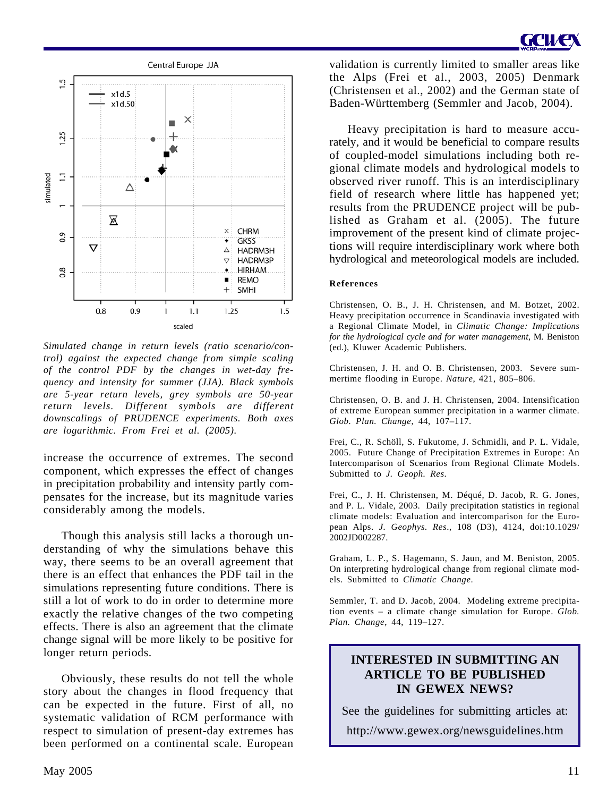

*Simulated change in return levels (ratio scenario/control) against the expected change from simple scaling of the control PDF by the changes in wet-day frequency and intensity for summer (JJA). Black symbols are 5-year return levels, grey symbols are 50-year return levels. Different symbols are different downscalings of PRUDENCE experiments. Both axes are logarithmic. From Frei et al. (2005).*

increase the occurrence of extremes. The second component, which expresses the effect of changes in precipitation probability and intensity partly compensates for the increase, but its magnitude varies considerably among the models.

Though this analysis still lacks a thorough understanding of why the simulations behave this way, there seems to be an overall agreement that there is an effect that enhances the PDF tail in the simulations representing future conditions. There is still a lot of work to do in order to determine more exactly the relative changes of the two competing effects. There is also an agreement that the climate change signal will be more likely to be positive for longer return periods.

Obviously, these results do not tell the whole story about the changes in flood frequency that can be expected in the future. First of all, no systematic validation of RCM performance with respect to simulation of present-day extremes has been performed on a continental scale. European

validation is currently limited to smaller areas like the Alps (Frei et al., 2003, 2005) Denmark (Christensen et al., 2002) and the German state of Baden-Württemberg (Semmler and Jacob, 2004).

Heavy precipitation is hard to measure accurately, and it would be beneficial to compare results of coupled-model simulations including both regional climate models and hydrological models to observed river runoff. This is an interdisciplinary field of research where little has happened yet; results from the PRUDENCE project will be published as Graham et al. (2005). The future improvement of the present kind of climate projections will require interdisciplinary work where both hydrological and meteorological models are included.

#### **References**

Christensen, O. B., J. H. Christensen, and M. Botzet, 2002. Heavy precipitation occurrence in Scandinavia investigated with a Regional Climate Model, in *Climatic Change: Implications for the hydrological cycle and for water management*, M. Beniston (ed.), Kluwer Academic Publishers.

Christensen, J. H. and O. B. Christensen, 2003. Severe summertime flooding in Europe. *Nature*, 421, 805–806.

Christensen, O. B. and J. H. Christensen, 2004. Intensification of extreme European summer precipitation in a warmer climate. *Glob. Plan. Change*, 44, 107–117.

Frei, C., R. Schöll, S. Fukutome, J. Schmidli, and P. L. Vidale, 2005. Future Change of Precipitation Extremes in Europe: An Intercomparison of Scenarios from Regional Climate Models. Submitted to *J. Geoph. Res*.

Frei, C., J. H. Christensen, M. Déqué, D. Jacob, R. G. Jones, and P. L. Vidale, 2003. Daily precipitation statistics in regional climate models: Evaluation and intercomparison for the European Alps. *J. Geophys. Res*., 108 (D3), 4124, doi:10.1029/ 2002JD002287.

Graham, L. P., S. Hagemann, S. Jaun, and M. Beniston, 2005. On interpreting hydrological change from regional climate models. Submitted to *Climatic Change*.

Semmler, T. and D. Jacob, 2004. Modeling extreme precipitation events – a climate change simulation for Europe. *Glob. Plan. Change*, 44, 119–127.

### **INTERESTED IN SUBMITTING AN ARTICLE TO BE PUBLISHED IN GEWEX NEWS?**

See the guidelines for submitting articles at: http://www.gewex.org/newsguidelines.htm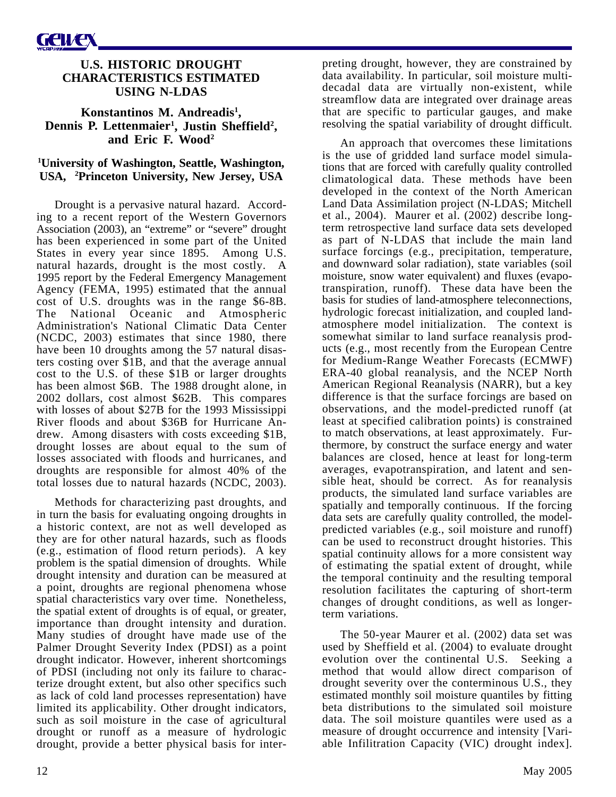### **U.S. HISTORIC DROUGHT CHARACTERISTICS ESTIMATED USING N-LDAS**

**Konstantinos M. Andreadis1 ,** Dennis P. Lettenmaier<sup>1</sup>, Justin Sheffield<sup>2</sup>, **and Eric F. Wood2**

### **1 University of Washington, Seattle, Washington, USA, 2 Princeton University, New Jersey, USA**

Drought is a pervasive natural hazard. According to a recent report of the Western Governors Association (2003), an "extreme" or "severe" drought has been experienced in some part of the United States in every year since 1895. Among U.S. natural hazards, drought is the most costly. A 1995 report by the Federal Emergency Management Agency (FEMA, 1995) estimated that the annual cost of U.S. droughts was in the range \$6-8B. The National Oceanic and Atmospheric Administration's National Climatic Data Center (NCDC, 2003) estimates that since 1980, there have been 10 droughts among the 57 natural disasters costing over \$1B, and that the average annual cost to the U.S. of these \$1B or larger droughts has been almost \$6B. The 1988 drought alone, in 2002 dollars, cost almost \$62B. This compares with losses of about \$27B for the 1993 Mississippi River floods and about \$36B for Hurricane Andrew. Among disasters with costs exceeding \$1B, drought losses are about equal to the sum of losses associated with floods and hurricanes, and droughts are responsible for almost 40% of the total losses due to natural hazards (NCDC, 2003).

Methods for characterizing past droughts, and in turn the basis for evaluating ongoing droughts in a historic context, are not as well developed as they are for other natural hazards, such as floods (e.g., estimation of flood return periods). A key problem is the spatial dimension of droughts. While drought intensity and duration can be measured at a point, droughts are regional phenomena whose spatial characteristics vary over time. Nonetheless, the spatial extent of droughts is of equal, or greater, importance than drought intensity and duration. Many studies of drought have made use of the Palmer Drought Severity Index (PDSI) as a point drought indicator. However, inherent shortcomings of PDSI (including not only its failure to characterize drought extent, but also other specifics such as lack of cold land processes representation) have limited its applicability. Other drought indicators, such as soil moisture in the case of agricultural drought or runoff as a measure of hydrologic drought, provide a better physical basis for interpreting drought, however, they are constrained by data availability. In particular, soil moisture multidecadal data are virtually non-existent, while streamflow data are integrated over drainage areas that are specific to particular gauges, and make resolving the spatial variability of drought difficult.

An approach that overcomes these limitations is the use of gridded land surface model simulations that are forced with carefully quality controlled climatological data. These methods have been developed in the context of the North American Land Data Assimilation project (N-LDAS; Mitchell et al., 2004). Maurer et al. (2002) describe longterm retrospective land surface data sets developed as part of N-LDAS that include the main land surface forcings (e.g., precipitation, temperature, and downward solar radiation), state variables (soil moisture, snow water equivalent) and fluxes (evapotranspiration, runoff). These data have been the basis for studies of land-atmosphere teleconnections, hydrologic forecast initialization, and coupled landatmosphere model initialization. The context is somewhat similar to land surface reanalysis products (e.g., most recently from the European Centre for Medium-Range Weather Forecasts (ECMWF) ERA-40 global reanalysis, and the NCEP North American Regional Reanalysis (NARR), but a key difference is that the surface forcings are based on observations, and the model-predicted runoff (at least at specified calibration points) is constrained to match observations, at least approximately. Furthermore, by construct the surface energy and water balances are closed, hence at least for long-term averages, evapotranspiration, and latent and sensible heat, should be correct. As for reanalysis products, the simulated land surface variables are spatially and temporally continuous. If the forcing data sets are carefully quality controlled, the modelpredicted variables (e.g., soil moisture and runoff) can be used to reconstruct drought histories. This spatial continuity allows for a more consistent way of estimating the spatial extent of drought, while the temporal continuity and the resulting temporal resolution facilitates the capturing of short-term changes of drought conditions, as well as longerterm variations.

The 50-year Maurer et al. (2002) data set was used by Sheffield et al. (2004) to evaluate drought evolution over the continental U.S. Seeking a method that would allow direct comparison of drought severity over the conterminous U.S., they estimated monthly soil moisture quantiles by fitting beta distributions to the simulated soil moisture data. The soil moisture quantiles were used as a measure of drought occurrence and intensity [Variable Infilitration Capacity (VIC) drought index].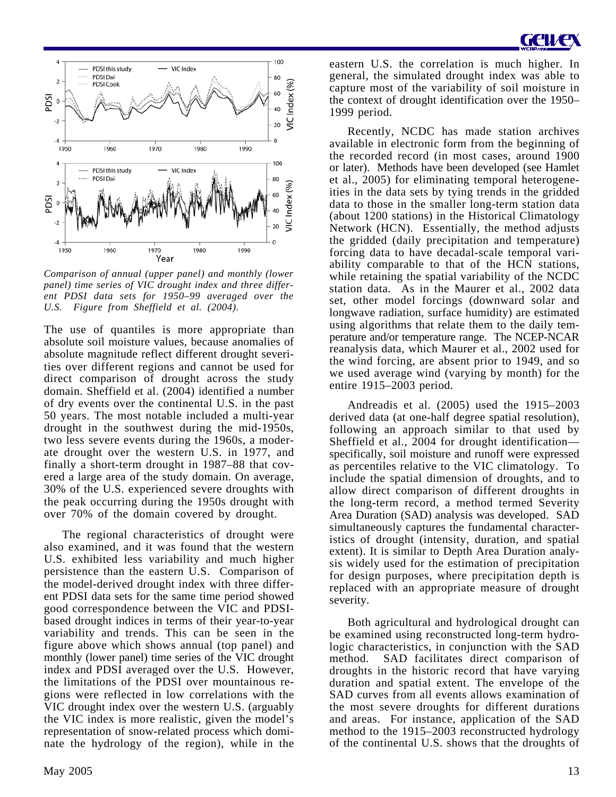

*Comparison of annual (upper panel) and monthly (lower panel) time series of VIC drought index and three different PDSI data sets for 1950–99 averaged over the U.S. Figure from Sheffield et al. (2004).*

The use of quantiles is more appropriate than absolute soil moisture values, because anomalies of absolute magnitude reflect different drought severities over different regions and cannot be used for direct comparison of drought across the study domain. Sheffield et al. (2004) identified a number of dry events over the continental U.S. in the past 50 years. The most notable included a multi-year drought in the southwest during the mid-1950s, two less severe events during the 1960s, a moderate drought over the western U.S. in 1977, and finally a short-term drought in 1987–88 that covered a large area of the study domain. On average, 30% of the U.S. experienced severe droughts with the peak occurring during the 1950s drought with over 70% of the domain covered by drought.

The regional characteristics of drought were also examined, and it was found that the western U.S. exhibited less variability and much higher persistence than the eastern U.S. Comparison of the model-derived drought index with three different PDSI data sets for the same time period showed good correspondence between the VIC and PDSIbased drought indices in terms of their year-to-year variability and trends. This can be seen in the figure above which shows annual (top panel) and monthly (lower panel) time series of the VIC drought index and PDSI averaged over the U.S. However, the limitations of the PDSI over mountainous regions were reflected in low correlations with the VIC drought index over the western U.S. (arguably the VIC index is more realistic, given the model's representation of snow-related process which dominate the hydrology of the region), while in the

eastern U.S. the correlation is much higher. In general, the simulated drought index was able to capture most of the variability of soil moisture in the context of drought identification over the 1950– 1999 period.

Recently, NCDC has made station archives available in electronic form from the beginning of the recorded record (in most cases, around 1900 or later). Methods have been developed (see Hamlet et al., 2005) for eliminating temporal heterogeneities in the data sets by tying trends in the gridded data to those in the smaller long-term station data (about 1200 stations) in the Historical Climatology Network (HCN). Essentially, the method adjusts the gridded (daily precipitation and temperature) forcing data to have decadal-scale temporal variability comparable to that of the HCN stations, while retaining the spatial variability of the NCDC station data. As in the Maurer et al., 2002 data set, other model forcings (downward solar and longwave radiation, surface humidity) are estimated using algorithms that relate them to the daily temperature and/or temperature range. The NCEP-NCAR reanalysis data, which Maurer et al., 2002 used for the wind forcing, are absent prior to 1949, and so we used average wind (varying by month) for the entire 1915–2003 period.

Andreadis et al. (2005) used the 1915–2003 derived data (at one-half degree spatial resolution), following an approach similar to that used by Sheffield et al., 2004 for drought identification specifically, soil moisture and runoff were expressed as percentiles relative to the VIC climatology. To include the spatial dimension of droughts, and to allow direct comparison of different droughts in the long-term record, a method termed Severity Area Duration (SAD) analysis was developed. SAD simultaneously captures the fundamental characteristics of drought (intensity, duration, and spatial extent). It is similar to Depth Area Duration analysis widely used for the estimation of precipitation for design purposes, where precipitation depth is replaced with an appropriate measure of drought severity.

Both agricultural and hydrological drought can be examined using reconstructed long-term hydrologic characteristics, in conjunction with the SAD method. SAD facilitates direct comparison of droughts in the historic record that have varying duration and spatial extent. The envelope of the SAD curves from all events allows examination of the most severe droughts for different durations and areas. For instance, application of the SAD method to the 1915–2003 reconstructed hydrology of the continental U.S. shows that the droughts of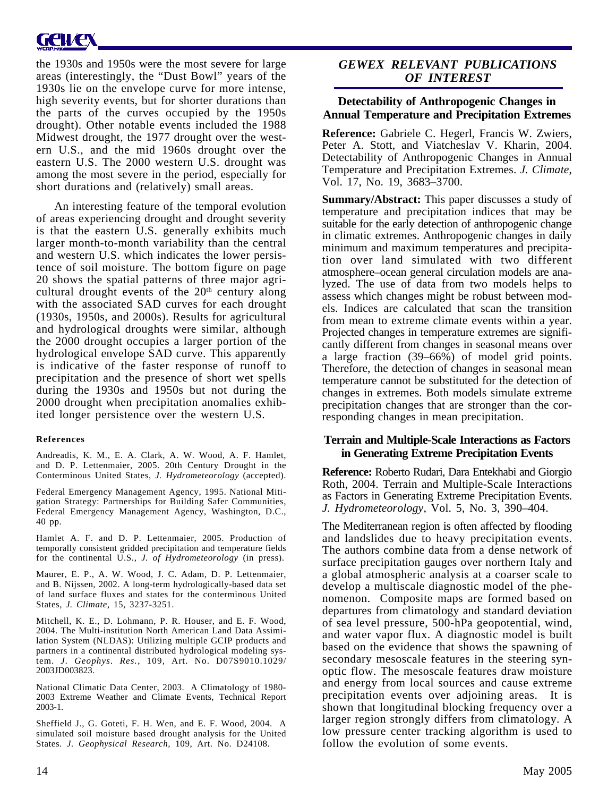# GCIKER

the 1930s and 1950s were the most severe for large areas (interestingly, the "Dust Bowl" years of the 1930s lie on the envelope curve for more intense, high severity events, but for shorter durations than the parts of the curves occupied by the 1950s drought). Other notable events included the 1988 Midwest drought, the 1977 drought over the western U.S., and the mid 1960s drought over the eastern U.S. The 2000 western U.S. drought was among the most severe in the period, especially for short durations and (relatively) small areas.

An interesting feature of the temporal evolution of areas experiencing drought and drought severity is that the eastern U.S. generally exhibits much larger month-to-month variability than the central and western U.S. which indicates the lower persistence of soil moisture. The bottom figure on page 20 shows the spatial patterns of three major agricultural drought events of the  $20<sup>th</sup>$  century along with the associated SAD curves for each drought (1930s, 1950s, and 2000s). Results for agricultural and hydrological droughts were similar, although the 2000 drought occupies a larger portion of the hydrological envelope SAD curve. This apparently is indicative of the faster response of runoff to precipitation and the presence of short wet spells during the 1930s and 1950s but not during the 2000 drought when precipitation anomalies exhibited longer persistence over the western U.S.

#### **References**

Andreadis, K. M., E. A. Clark, A. W. Wood, A. F. Hamlet, and D. P. Lettenmaier, 2005. 20th Century Drought in the Conterminous United States, *J. Hydrometeorology* (accepted).

Federal Emergency Management Agency, 1995. National Mitigation Strategy: Partnerships for Building Safer Communities, Federal Emergency Management Agency, Washington, D.C., 40 pp.

Hamlet A. F. and D. P. Lettenmaier, 2005. Production of temporally consistent gridded precipitation and temperature fields for the continental U.S., *J. of Hydrometeorology* (in press).

Maurer, E. P., A. W. Wood, J. C. Adam, D. P. Lettenmaier, and B. Nijssen, 2002. A long-term hydrologically-based data set of land surface fluxes and states for the conterminous United States, *J. Climate,* 15, 3237-3251.

Mitchell, K. E., D. Lohmann, P. R. Houser, and E. F. Wood, 2004. The Multi-institution North American Land Data Assimilation System (NLDAS): Utilizing multiple GCIP products and partners in a continental distributed hydrological modeling system. *J. Geophys. Res.*, 109, Art. No. D07S9010.1029/ 2003JD003823.

National Climatic Data Center, 2003. A Climatology of 1980- 2003 Extreme Weather and Climate Events, Technical Report 2003-1.

Sheffield J., G. Goteti, F. H. Wen, and E. F. Wood, 2004. A simulated soil moisture based drought analysis for the United States. *J. Geophysical Research,* 109, Art. No. D24108.

### *GEWEX RELEVANT PUBLICATIONS OF INTEREST*

### **Detectability of Anthropogenic Changes in Annual Temperature and Precipitation Extremes**

**Reference:** Gabriele C. Hegerl, Francis W. Zwiers, Peter A. Stott, and Viatcheslav V. Kharin, 2004. Detectability of Anthropogenic Changes in Annual Temperature and Precipitation Extremes. *J. Climate*, Vol. 17, No. 19, 3683–3700.

**Summary/Abstract:** This paper discusses a study of temperature and precipitation indices that may be suitable for the early detection of anthropogenic change in climatic extremes. Anthropogenic changes in daily minimum and maximum temperatures and precipitation over land simulated with two different atmosphere–ocean general circulation models are analyzed. The use of data from two models helps to assess which changes might be robust between models. Indices are calculated that scan the transition from mean to extreme climate events within a year. Projected changes in temperature extremes are significantly different from changes in seasonal means over a large fraction (39–66%) of model grid points. Therefore, the detection of changes in seasonal mean temperature cannot be substituted for the detection of changes in extremes. Both models simulate extreme precipitation changes that are stronger than the corresponding changes in mean precipitation.

### **Terrain and Multiple-Scale Interactions as Factors in Generating Extreme Precipitation Events**

**Reference:** Roberto Rudari, Dara Entekhabi and Giorgio Roth, 2004. Terrain and Multiple-Scale Interactions as Factors in Generating Extreme Precipitation Events. *J. Hydrometeorology*, Vol. 5, No. 3, 390–404.

The Mediterranean region is often affected by flooding and landslides due to heavy precipitation events. The authors combine data from a dense network of surface precipitation gauges over northern Italy and a global atmospheric analysis at a coarser scale to develop a multiscale diagnostic model of the phenomenon. Composite maps are formed based on departures from climatology and standard deviation of sea level pressure, 500-hPa geopotential, wind, and water vapor flux. A diagnostic model is built based on the evidence that shows the spawning of secondary mesoscale features in the steering synoptic flow. The mesoscale features draw moisture and energy from local sources and cause extreme precipitation events over adjoining areas. It is shown that longitudinal blocking frequency over a larger region strongly differs from climatology. A low pressure center tracking algorithm is used to follow the evolution of some events.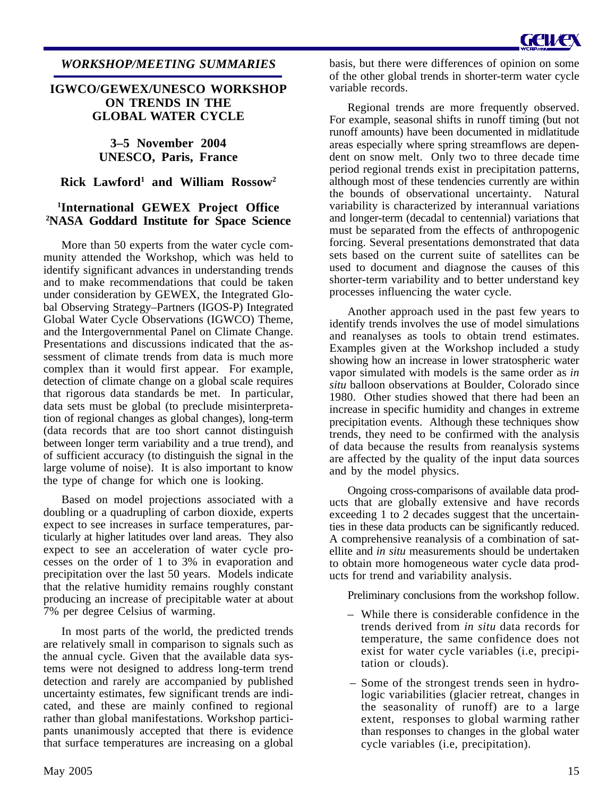### *WORKSHOP/MEETING SUMMARIES*

### **IGWCO/GEWEX/UNESCO WORKSHOP ON TRENDS IN THE GLOBAL WATER CYCLE**

**3–5 November 2004 UNESCO, Paris, France**

### **Rick Lawford1 and William Rossow2**

### **1 International GEWEX Project Office 2 NASA Goddard Institute for Space Science**

More than 50 experts from the water cycle community attended the Workshop, which was held to identify significant advances in understanding trends and to make recommendations that could be taken under consideration by GEWEX, the Integrated Global Observing Strategy–Partners (IGOS-P) Integrated Global Water Cycle Observations (IGWCO) Theme, and the Intergovernmental Panel on Climate Change. Presentations and discussions indicated that the assessment of climate trends from data is much more complex than it would first appear. For example, detection of climate change on a global scale requires that rigorous data standards be met. In particular, data sets must be global (to preclude misinterpretation of regional changes as global changes), long-term (data records that are too short cannot distinguish between longer term variability and a true trend), and of sufficient accuracy (to distinguish the signal in the large volume of noise). It is also important to know the type of change for which one is looking.

Based on model projections associated with a doubling or a quadrupling of carbon dioxide, experts expect to see increases in surface temperatures, particularly at higher latitudes over land areas. They also expect to see an acceleration of water cycle processes on the order of 1 to 3% in evaporation and precipitation over the last 50 years. Models indicate that the relative humidity remains roughly constant producing an increase of precipitable water at about 7% per degree Celsius of warming.

In most parts of the world, the predicted trends are relatively small in comparison to signals such as the annual cycle. Given that the available data systems were not designed to address long-term trend detection and rarely are accompanied by published uncertainty estimates, few significant trends are indicated, and these are mainly confined to regional rather than global manifestations. Workshop participants unanimously accepted that there is evidence that surface temperatures are increasing on a global basis, but there were differences of opinion on some of the other global trends in shorter-term water cycle variable records.

Regional trends are more frequently observed. For example, seasonal shifts in runoff timing (but not runoff amounts) have been documented in midlatitude areas especially where spring streamflows are dependent on snow melt. Only two to three decade time period regional trends exist in precipitation patterns, although most of these tendencies currently are within the bounds of observational uncertainty. Natural variability is characterized by interannual variations and longer-term (decadal to centennial) variations that must be separated from the effects of anthropogenic forcing. Several presentations demonstrated that data sets based on the current suite of satellites can be used to document and diagnose the causes of this shorter-term variability and to better understand key processes influencing the water cycle.

Another approach used in the past few years to identify trends involves the use of model simulations and reanalyses as tools to obtain trend estimates. Examples given at the Workshop included a study showing how an increase in lower stratospheric water vapor simulated with models is the same order as *in situ* balloon observations at Boulder, Colorado since 1980. Other studies showed that there had been an increase in specific humidity and changes in extreme precipitation events. Although these techniques show trends, they need to be confirmed with the analysis of data because the results from reanalysis systems are affected by the quality of the input data sources and by the model physics.

Ongoing cross-comparisons of available data products that are globally extensive and have records exceeding 1 to 2 decades suggest that the uncertainties in these data products can be significantly reduced. A comprehensive reanalysis of a combination of satellite and *in situ* measurements should be undertaken to obtain more homogeneous water cycle data products for trend and variability analysis.

Preliminary conclusions from the workshop follow.

- While there is considerable confidence in the trends derived from *in situ* data records for temperature, the same confidence does not exist for water cycle variables (i.e, precipitation or clouds).
- Some of the strongest trends seen in hydrologic variabilities (glacier retreat, changes in the seasonality of runoff) are to a large extent, responses to global warming rather than responses to changes in the global water cycle variables (i.e, precipitation).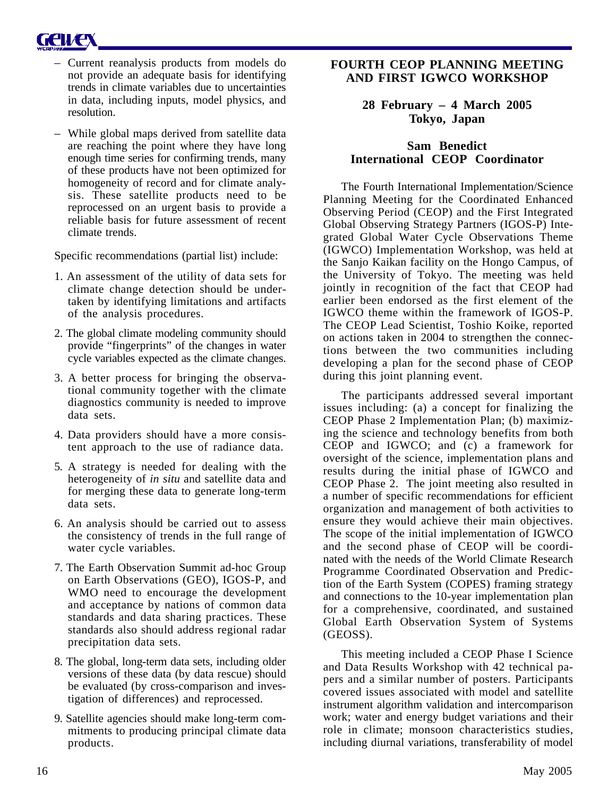

- Current reanalysis products from models do not provide an adequate basis for identifying trends in climate variables due to uncertainties in data, including inputs, model physics, and resolution.
- While global maps derived from satellite data are reaching the point where they have long enough time series for confirming trends, many of these products have not been optimized for homogeneity of record and for climate analysis. These satellite products need to be reprocessed on an urgent basis to provide a reliable basis for future assessment of recent climate trends.

Specific recommendations (partial list) include:

- 1. An assessment of the utility of data sets for climate change detection should be undertaken by identifying limitations and artifacts of the analysis procedures.
- 2. The global climate modeling community should provide "fingerprints" of the changes in water cycle variables expected as the climate changes.
- 3. A better process for bringing the observational community together with the climate diagnostics community is needed to improve data sets.
- 4. Data providers should have a more consistent approach to the use of radiance data.
- 5. A strategy is needed for dealing with the heterogeneity of *in situ* and satellite data and for merging these data to generate long-term data sets.
- 6. An analysis should be carried out to assess the consistency of trends in the full range of water cycle variables.
- 7. The Earth Observation Summit ad-hoc Group on Earth Observations (GEO), IGOS-P, and WMO need to encourage the development and acceptance by nations of common data standards and data sharing practices. These standards also should address regional radar precipitation data sets.
- 8. The global, long-term data sets, including older versions of these data (by data rescue) should be evaluated (by cross-comparison and investigation of differences) and reprocessed.
- 9. Satellite agencies should make long-term commitments to producing principal climate data products.

### **FOURTH CEOP PLANNING MEETING AND FIRST IGWCO WORKSHOP**

### **28 February – 4 March 2005 Tokyo, Japan**

### **Sam Benedict International CEOP Coordinator**

The Fourth International Implementation/Science Planning Meeting for the Coordinated Enhanced Observing Period (CEOP) and the First Integrated Global Observing Strategy Partners (IGOS-P) Integrated Global Water Cycle Observations Theme (IGWCO) Implementation Workshop, was held at the Sanjo Kaikan facility on the Hongo Campus, of the University of Tokyo. The meeting was held jointly in recognition of the fact that CEOP had earlier been endorsed as the first element of the IGWCO theme within the framework of IGOS-P. The CEOP Lead Scientist, Toshio Koike, reported on actions taken in 2004 to strengthen the connections between the two communities including developing a plan for the second phase of CEOP during this joint planning event.

The participants addressed several important issues including: (a) a concept for finalizing the CEOP Phase 2 Implementation Plan; (b) maximizing the science and technology benefits from both CEOP and IGWCO; and (c) a framework for oversight of the science, implementation plans and results during the initial phase of IGWCO and CEOP Phase 2. The joint meeting also resulted in a number of specific recommendations for efficient organization and management of both activities to ensure they would achieve their main objectives. The scope of the initial implementation of IGWCO and the second phase of CEOP will be coordinated with the needs of the World Climate Research Programme Coordinated Observation and Prediction of the Earth System (COPES) framing strategy and connections to the 10-year implementation plan for a comprehensive, coordinated, and sustained Global Earth Observation System of Systems (GEOSS).

This meeting included a CEOP Phase I Science and Data Results Workshop with 42 technical papers and a similar number of posters. Participants covered issues associated with model and satellite instrument algorithm validation and intercomparison work; water and energy budget variations and their role in climate; monsoon characteristics studies, including diurnal variations, transferability of model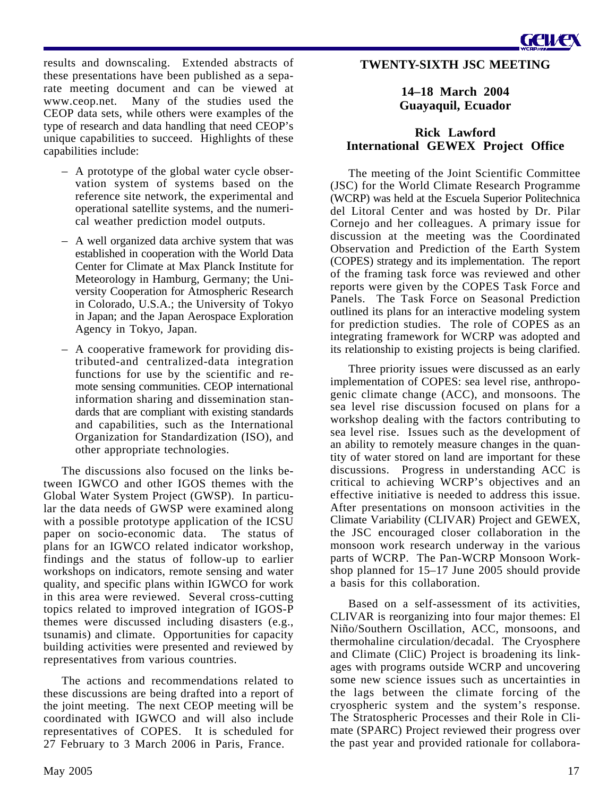Geuze

results and downscaling. Extended abstracts of these presentations have been published as a separate meeting document and can be viewed at www.ceop.net. Many of the studies used the CEOP data sets, while others were examples of the type of research and data handling that need CEOP's unique capabilities to succeed. Highlights of these capabilities include:

- A prototype of the global water cycle observation system of systems based on the reference site network, the experimental and operational satellite systems, and the numerical weather prediction model outputs.
- A well organized data archive system that was established in cooperation with the World Data Center for Climate at Max Planck Institute for Meteorology in Hamburg, Germany; the University Cooperation for Atmospheric Research in Colorado, U.S.A.; the University of Tokyo in Japan; and the Japan Aerospace Exploration Agency in Tokyo, Japan.
- A cooperative framework for providing distributed-and centralized-data integration functions for use by the scientific and remote sensing communities. CEOP international information sharing and dissemination standards that are compliant with existing standards and capabilities, such as the International Organization for Standardization (ISO), and other appropriate technologies.

The discussions also focused on the links between IGWCO and other IGOS themes with the Global Water System Project (GWSP). In particular the data needs of GWSP were examined along with a possible prototype application of the ICSU paper on socio-economic data. The status of plans for an IGWCO related indicator workshop, findings and the status of follow-up to earlier workshops on indicators, remote sensing and water quality, and specific plans within IGWCO for work in this area were reviewed. Several cross-cutting topics related to improved integration of IGOS-P themes were discussed including disasters (e.g., tsunamis) and climate. Opportunities for capacity building activities were presented and reviewed by representatives from various countries.

The actions and recommendations related to these discussions are being drafted into a report of the joint meeting. The next CEOP meeting will be coordinated with IGWCO and will also include representatives of COPES. It is scheduled for 27 February to 3 March 2006 in Paris, France.

### **14–18 March 2004 Guayaquil, Ecuador**

### **Rick Lawford International GEWEX Project Office**

The meeting of the Joint Scientific Committee (JSC) for the World Climate Research Programme (WCRP) was held at the Escuela Superior Politechnica del Litoral Center and was hosted by Dr. Pilar Cornejo and her colleagues. A primary issue for discussion at the meeting was the Coordinated Observation and Prediction of the Earth System (COPES) strategy and its implementation. The report of the framing task force was reviewed and other reports were given by the COPES Task Force and Panels. The Task Force on Seasonal Prediction outlined its plans for an interactive modeling system for prediction studies. The role of COPES as an integrating framework for WCRP was adopted and its relationship to existing projects is being clarified.

Three priority issues were discussed as an early implementation of COPES: sea level rise, anthropogenic climate change (ACC), and monsoons. The sea level rise discussion focused on plans for a workshop dealing with the factors contributing to sea level rise. Issues such as the development of an ability to remotely measure changes in the quantity of water stored on land are important for these discussions. Progress in understanding ACC is critical to achieving WCRP's objectives and an effective initiative is needed to address this issue. After presentations on monsoon activities in the Climate Variability (CLIVAR) Project and GEWEX, the JSC encouraged closer collaboration in the monsoon work research underway in the various parts of WCRP. The Pan-WCRP Monsoon Workshop planned for 15–17 June 2005 should provide a basis for this collaboration.

Based on a self-assessment of its activities, CLIVAR is reorganizing into four major themes: El Niño/Southern Oscillation, ACC, monsoons, and thermohaline circulation/decadal. The Cryosphere and Climate (CliC) Project is broadening its linkages with programs outside WCRP and uncovering some new science issues such as uncertainties in the lags between the climate forcing of the cryospheric system and the system's response. The Stratospheric Processes and their Role in Climate (SPARC) Project reviewed their progress over the past year and provided rationale for collabora-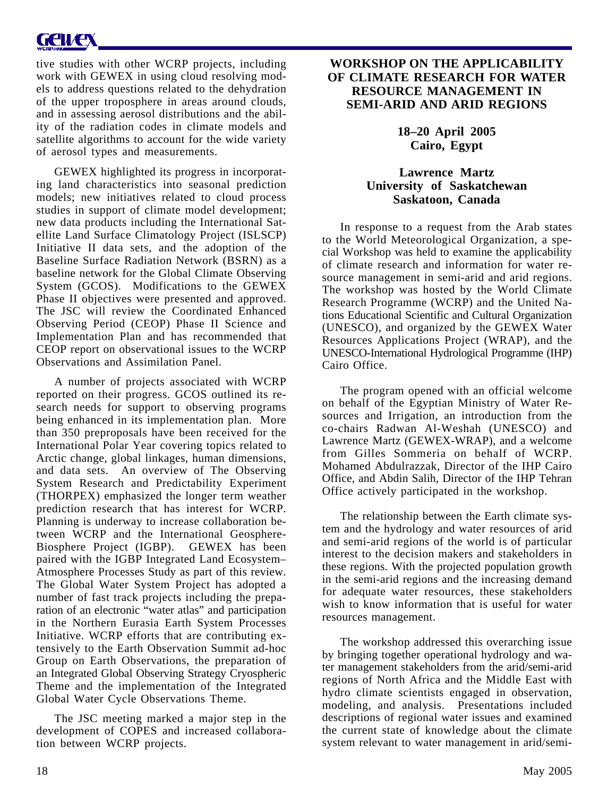# **GEWEX**

tive studies with other WCRP projects, including work with GEWEX in using cloud resolving models to address questions related to the dehydration of the upper troposphere in areas around clouds, and in assessing aerosol distributions and the ability of the radiation codes in climate models and satellite algorithms to account for the wide variety of aerosol types and measurements.

GEWEX highlighted its progress in incorporating land characteristics into seasonal prediction models; new initiatives related to cloud process studies in support of climate model development; new data products including the International Satellite Land Surface Climatology Project (ISLSCP) Initiative II data sets, and the adoption of the Baseline Surface Radiation Network (BSRN) as a baseline network for the Global Climate Observing System (GCOS). Modifications to the GEWEX Phase II objectives were presented and approved. The JSC will review the Coordinated Enhanced Observing Period (CEOP) Phase II Science and Implementation Plan and has recommended that CEOP report on observational issues to the WCRP Observations and Assimilation Panel.

A number of projects associated with WCRP reported on their progress. GCOS outlined its research needs for support to observing programs being enhanced in its implementation plan. More than 350 preproposals have been received for the International Polar Year covering topics related to Arctic change, global linkages, human dimensions, and data sets. An overview of The Observing System Research and Predictability Experiment (THORPEX) emphasized the longer term weather prediction research that has interest for WCRP. Planning is underway to increase collaboration between WCRP and the International Geosphere-Biosphere Project (IGBP). GEWEX has been paired with the IGBP Integrated Land Ecosystem– Atmosphere Processes Study as part of this review. The Global Water System Project has adopted a number of fast track projects including the preparation of an electronic "water atlas" and participation in the Northern Eurasia Earth System Processes Initiative. WCRP efforts that are contributing extensively to the Earth Observation Summit ad-hoc Group on Earth Observations, the preparation of an Integrated Global Observing Strategy Cryospheric Theme and the implementation of the Integrated Global Water Cycle Observations Theme.

The JSC meeting marked a major step in the development of COPES and increased collaboration between WCRP projects.

### **WORKSHOP ON THE APPLICABILITY OF CLIMATE RESEARCH FOR WATER RESOURCE MANAGEMENT IN SEMI-ARID AND ARID REGIONS**

**18–20 April 2005 Cairo, Egypt**

### **Lawrence Martz University of Saskatchewan Saskatoon, Canada**

In response to a request from the Arab states to the World Meteorological Organization, a special Workshop was held to examine the applicability of climate research and information for water resource management in semi-arid and arid regions. The workshop was hosted by the World Climate Research Programme (WCRP) and the United Nations Educational Scientific and Cultural Organization (UNESCO), and organized by the GEWEX Water Resources Applications Project (WRAP), and the UNESCO-International Hydrological Programme (IHP) Cairo Office.

The program opened with an official welcome on behalf of the Egyptian Ministry of Water Resources and Irrigation, an introduction from the co-chairs Radwan Al-Weshah (UNESCO) and Lawrence Martz (GEWEX-WRAP), and a welcome from Gilles Sommeria on behalf of WCRP. Mohamed Abdulrazzak, Director of the IHP Cairo Office, and Abdin Salih, Director of the IHP Tehran Office actively participated in the workshop.

The relationship between the Earth climate system and the hydrology and water resources of arid and semi-arid regions of the world is of particular interest to the decision makers and stakeholders in these regions. With the projected population growth in the semi-arid regions and the increasing demand for adequate water resources, these stakeholders wish to know information that is useful for water resources management.

The workshop addressed this overarching issue by bringing together operational hydrology and water management stakeholders from the arid/semi-arid regions of North Africa and the Middle East with hydro climate scientists engaged in observation, modeling, and analysis. Presentations included descriptions of regional water issues and examined the current state of knowledge about the climate system relevant to water management in arid/semi-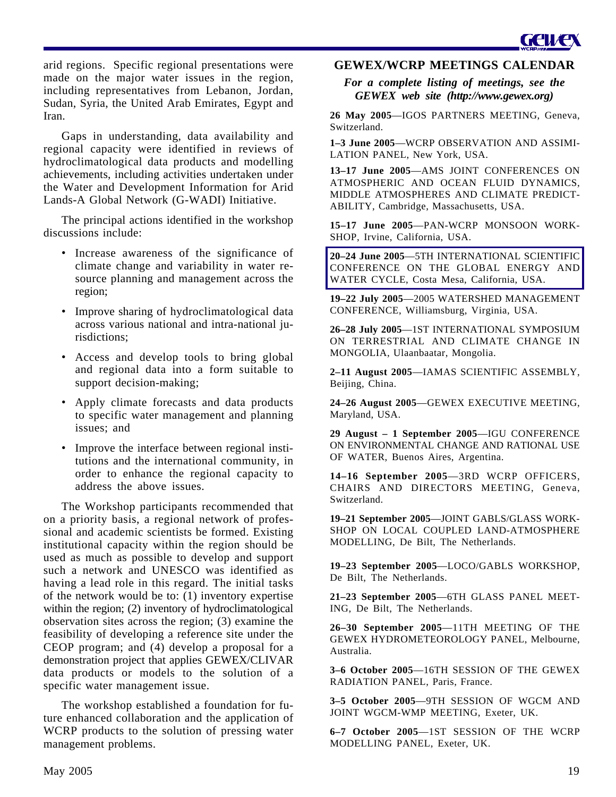

arid regions. Specific regional presentations were made on the major water issues in the region, including representatives from Lebanon, Jordan, Sudan, Syria, the United Arab Emirates, Egypt and Iran.

Gaps in understanding, data availability and regional capacity were identified in reviews of hydroclimatological data products and modelling achievements, including activities undertaken under the Water and Development Information for Arid Lands-A Global Network (G-WADI) Initiative.

The principal actions identified in the workshop discussions include:

- Increase awareness of the significance of climate change and variability in water resource planning and management across the region;
- Improve sharing of hydroclimatological data across various national and intra-national jurisdictions;
- Access and develop tools to bring global and regional data into a form suitable to support decision-making;
- Apply climate forecasts and data products to specific water management and planning issues; and
- Improve the interface between regional institutions and the international community, in order to enhance the regional capacity to address the above issues.

The Workshop participants recommended that on a priority basis, a regional network of professional and academic scientists be formed. Existing institutional capacity within the region should be used as much as possible to develop and support such a network and UNESCO was identified as having a lead role in this regard. The initial tasks of the network would be to: (1) inventory expertise within the region; (2) inventory of hydroclimatological observation sites across the region; (3) examine the feasibility of developing a reference site under the CEOP program; and (4) develop a proposal for a demonstration project that applies GEWEX/CLIVAR data products or models to the solution of a specific water management issue.

The workshop established a foundation for future enhanced collaboration and the application of WCRP products to the solution of pressing water management problems.

### **GEWEX/WCRP MEETINGS CALENDAR**

*For a complete listing of meetings, see the GEWEX web site (http://www.gewex.org)*

**26 May 2005**—IGOS PARTNERS MEETING, Geneva, Switzerland.

**1–3 June 2005**—WCRP OBSERVATION AND ASSIMI-LATION PANEL, New York, USA.

**13–17 June 2005**—AMS JOINT CONFERENCES ON ATMOSPHERIC AND OCEAN FLUID DYNAMICS, MIDDLE ATMOSPHERES AND CLIMATE PREDICT-ABILITY, Cambridge, Massachusetts, USA.

**15–17 June 2005**—PAN-WCRP MONSOON WORK-SHOP, Irvine, California, USA.

**20–24 June 2005**—5TH INTERNATIONAL SCIENTIFIC CONFERENCE ON THE GLOBAL ENERGY AND WATER CYCLE, Costa Mesa, California, USA.

**19–22 July 2005**—2005 WATERSHED MANAGEMENT CONFERENCE, Williamsburg, Virginia, USA.

**26–28 July 2005**—1ST INTERNATIONAL SYMPOSIUM ON TERRESTRIAL AND CLIMATE CHANGE IN MONGOLIA, Ulaanbaatar, Mongolia.

**2–11 August 2005**—IAMAS SCIENTIFIC ASSEMBLY, Beijing, China.

**24–26 August 2005**—GEWEX EXECUTIVE MEETING, Maryland, USA.

**29 August – 1 September 2005**—IGU CONFERENCE ON ENVIRONMENTAL CHANGE AND RATIONAL USE OF WATER, Buenos Aires, Argentina.

**14–16 September 2005**—3RD WCRP OFFICERS, CHAIRS AND DIRECTORS MEETING, Geneva, Switzerland.

**19–21 September 2005**—JOINT GABLS/GLASS WORK-SHOP ON LOCAL COUPLED LAND-ATMOSPHERE MODELLING, De Bilt, The Netherlands.

**19–23 September 2005**—LOCO/GABLS WORKSHOP, De Bilt, The Netherlands.

**21–23 September 2005**—6TH GLASS PANEL MEET-ING, De Bilt, The Netherlands.

**26–30 September 2005**—11TH MEETING OF THE GEWEX HYDROMETEOROLOGY PANEL, Melbourne, Australia.

**3–6 October 2005**—16TH SESSION OF THE GEWEX RADIATION PANEL, Paris, France.

**3–5 October 2005**—9TH SESSION OF WGCM AND JOINT WGCM-WMP MEETING, Exeter, UK.

**6–7 October 2005**—1ST SESSION OF THE WCRP MODELLING PANEL, Exeter, UK.